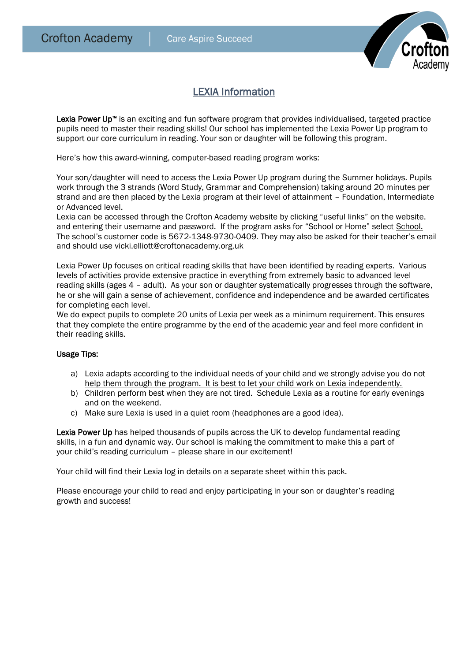

## LEXIA Information

Lexia Power Up<sup>™</sup> is an exciting and fun software program that provides individualised, targeted practice pupils need to master their reading skills! Our school has implemented the Lexia Power Up program to support our core curriculum in reading. Your son or daughter will be following this program.

Here's how this award-winning, computer-based reading program works:

Your son/daughter will need to access the Lexia Power Up program during the Summer holidays. Pupils work through the 3 strands (Word Study, Grammar and Comprehension) taking around 20 minutes per strand and are then placed by the Lexia program at their level of attainment – Foundation, Intermediate or Advanced level.

Lexia can be accessed through the Crofton Academy website by clicking "useful links" on the website. and entering their username and password. If the program asks for "School or Home" select School. The school's customer code is [5672-1348-9730-0409.](https://www.lexiapowerup.com/?SiteID=5672-1348-9730-0409) They may also be asked for their teacher's email and should use vicki.elliott@croftonacademy.org.uk

Lexia Power Up focuses on critical reading skills that have been identified by reading experts. Various levels of activities provide extensive practice in everything from extremely basic to advanced level reading skills (ages 4 – adult). As your son or daughter systematically progresses through the software, he or she will gain a sense of achievement, confidence and independence and be awarded certificates for completing each level.

We do expect pupils to complete 20 units of Lexia per week as a minimum requirement. This ensures that they complete the entire programme by the end of the academic year and feel more confident in their reading skills.

## Usage Tips:

- a) Lexia adapts according to the individual needs of your child and we strongly advise you do not help them through the program. It is best to let your child work on Lexia independently.
- b) Children perform best when they are not tired. Schedule Lexia as a routine for early evenings and on the weekend.
- c) Make sure Lexia is used in a quiet room (headphones are a good idea).

Lexia Power Up has helped thousands of pupils across the UK to develop fundamental reading skills, in a fun and dynamic way. Our school is making the commitment to make this a part of your child's reading curriculum – please share in our excitement!

Your child will find their Lexia log in details on a separate sheet within this pack.

Please encourage your child to read and enjoy participating in your son or daughter's reading growth and success!